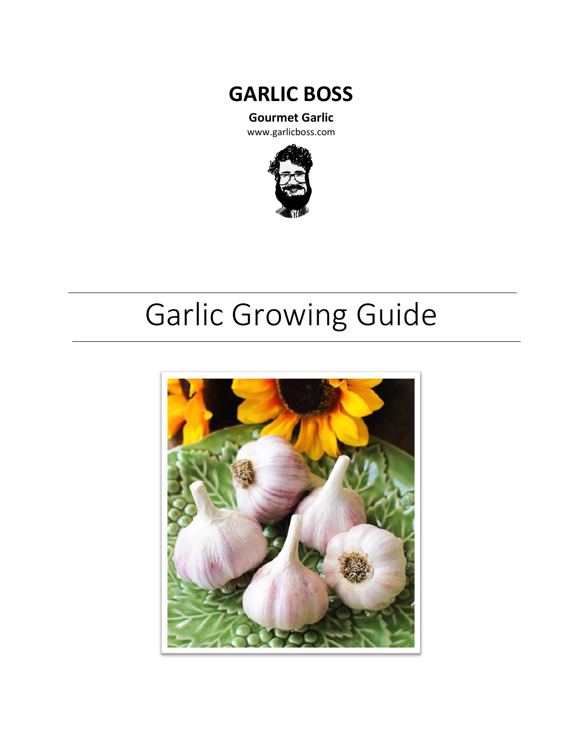

**Gourmet Garlic**

www.garlicboss.com



# Garlic Growing Guide

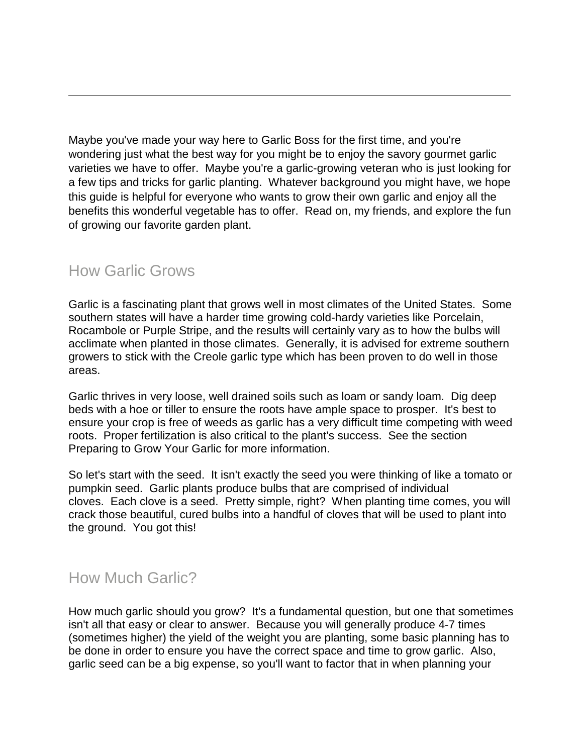Maybe you've made your way here to Garlic Boss for the first time, and you're wondering just what the best way for you might be to enjoy the savory gourmet garlic varieties we have to offer. Maybe you're a garlic-growing veteran who is just looking for a few tips and tricks for garlic planting. Whatever background you might have, we hope this guide is helpful for everyone who wants to grow their own garlic and enjoy all the benefits this wonderful vegetable has to offer. Read on, my friends, and explore the fun of growing our favorite garden plant.

#### How Garlic Grows

Garlic is a fascinating plant that grows well in most climates of the United States. Some southern states will have a harder time growing cold-hardy varieties like Porcelain, Rocambole or Purple Stripe, and the results will certainly vary as to how the bulbs will acclimate when planted in those climates. Generally, it is advised for extreme southern growers to stick with the Creole garlic type which has been proven to do well in those areas.

Garlic thrives in very loose, well drained soils such as loam or sandy loam. Dig deep beds with a hoe or tiller to ensure the roots have ample space to prosper. It's best to ensure your crop is free of weeds as garlic has a very difficult time competing with weed roots. Proper fertilization is also critical to the plant's success. See the section Preparing to Grow Your Garlic for more information.

So let's start with the seed. It isn't exactly the seed you were thinking of like a tomato or pumpkin seed. Garlic plants produce bulbs that are comprised of individual cloves. Each clove is a seed. Pretty simple, right? When planting time comes, you will crack those beautiful, cured bulbs into a handful of cloves that will be used to plant into the ground. You got this!

## How Much Garlic?

How much garlic should you grow? It's a fundamental question, but one that sometimes isn't all that easy or clear to answer. Because you will generally produce 4-7 times (sometimes higher) the yield of the weight you are planting, some basic planning has to be done in order to ensure you have the correct space and time to grow garlic. Also, garlic seed can be a big expense, so you'll want to factor that in when planning your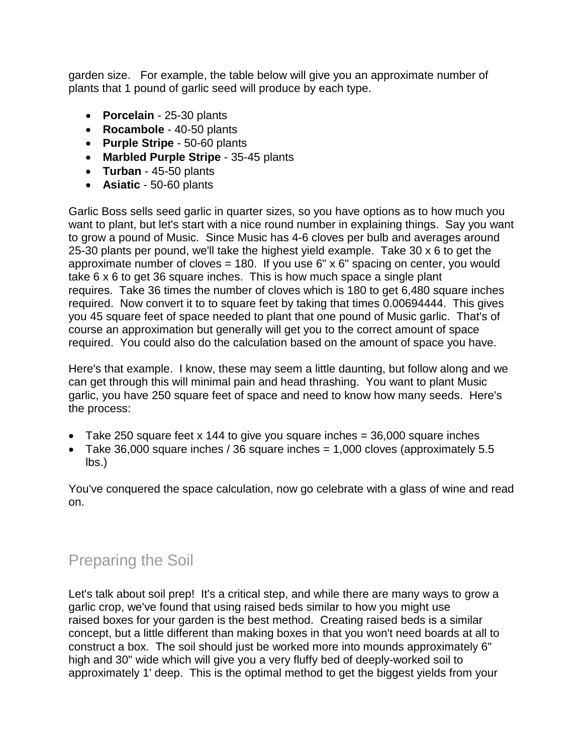garden size. For example, the table below will give you an approximate number of plants that 1 pound of garlic seed will produce by each type.

- **Porcelain** 25-30 plants
- **Rocambole** 40-50 plants
- **Purple Stripe** 50-60 plants
- **Marbled Purple Stripe** 35-45 plants
- **Turban** 45-50 plants
- **Asiatic** 50-60 plants

Garlic Boss sells seed garlic in quarter sizes, so you have options as to how much you want to plant, but let's start with a nice round number in explaining things. Say you want to grow a pound of Music. Since Music has 4-6 cloves per bulb and averages around 25-30 plants per pound, we'll take the highest yield example. Take 30 x 6 to get the approximate number of cloves = 180. If you use  $6" \times 6"$  spacing on center, you would take 6 x 6 to get 36 square inches. This is how much space a single plant requires. Take 36 times the number of cloves which is 180 to get 6,480 square inches required. Now convert it to to square feet by taking that times 0.00694444. This gives you 45 square feet of space needed to plant that one pound of Music garlic. That's of course an approximation but generally will get you to the correct amount of space required. You could also do the calculation based on the amount of space you have.

Here's that example. I know, these may seem a little daunting, but follow along and we can get through this will minimal pain and head thrashing. You want to plant Music garlic, you have 250 square feet of space and need to know how many seeds. Here's the process:

- Take 250 square feet x 144 to give you square inches  $=$  36,000 square inches
- Take 36,000 square inches / 36 square inches  $= 1,000$  cloves (approximately 5.5 lbs.)

You've conquered the space calculation, now go celebrate with a glass of wine and read on.

# Preparing the Soil

Let's talk about soil prep! It's a critical step, and while there are many ways to grow a garlic crop, we've found that using raised beds similar to how you might use raised boxes for your garden is the best method. Creating raised beds is a similar concept, but a little different than making boxes in that you won't need boards at all to construct a box. The soil should just be worked more into mounds approximately 6" high and 30" wide which will give you a very fluffy bed of deeply-worked soil to approximately 1' deep. This is the optimal method to get the biggest yields from your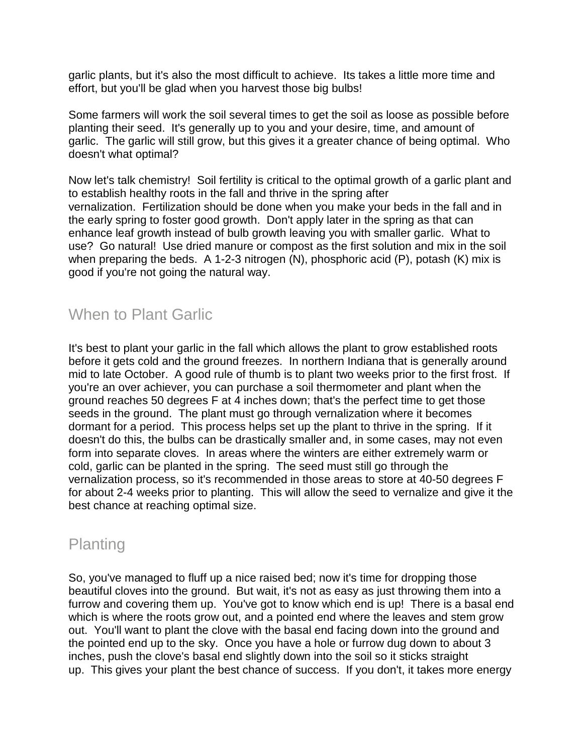garlic plants, but it's also the most difficult to achieve. Its takes a little more time and effort, but you'll be glad when you harvest those big bulbs!

Some farmers will work the soil several times to get the soil as loose as possible before planting their seed. It's generally up to you and your desire, time, and amount of garlic. The garlic will still grow, but this gives it a greater chance of being optimal. Who doesn't what optimal?

Now let's talk chemistry! Soil fertility is critical to the optimal growth of a garlic plant and to establish healthy roots in the fall and thrive in the spring after vernalization. Fertilization should be done when you make your beds in the fall and in the early spring to foster good growth. Don't apply later in the spring as that can enhance leaf growth instead of bulb growth leaving you with smaller garlic. What to use? Go natural! Use dried manure or compost as the first solution and mix in the soil when preparing the beds. A 1-2-3 nitrogen (N), phosphoric acid (P), potash (K) mix is good if you're not going the natural way.

# When to Plant Garlic

It's best to plant your garlic in the fall which allows the plant to grow established roots before it gets cold and the ground freezes. In northern Indiana that is generally around mid to late October. A good rule of thumb is to plant two weeks prior to the first frost. If you're an over achiever, you can purchase a soil thermometer and plant when the ground reaches 50 degrees F at 4 inches down; that's the perfect time to get those seeds in the ground. The plant must go through vernalization where it becomes dormant for a period. This process helps set up the plant to thrive in the spring. If it doesn't do this, the bulbs can be drastically smaller and, in some cases, may not even form into separate cloves. In areas where the winters are either extremely warm or cold, garlic can be planted in the spring. The seed must still go through the vernalization process, so it's recommended in those areas to store at 40-50 degrees F for about 2-4 weeks prior to planting. This will allow the seed to vernalize and give it the best chance at reaching optimal size.

## Planting

So, you've managed to fluff up a nice raised bed; now it's time for dropping those beautiful cloves into the ground. But wait, it's not as easy as just throwing them into a furrow and covering them up. You've got to know which end is up! There is a basal end which is where the roots grow out, and a pointed end where the leaves and stem grow out. You'll want to plant the clove with the basal end facing down into the ground and the pointed end up to the sky. Once you have a hole or furrow dug down to about 3 inches, push the clove's basal end slightly down into the soil so it sticks straight up. This gives your plant the best chance of success. If you don't, it takes more energy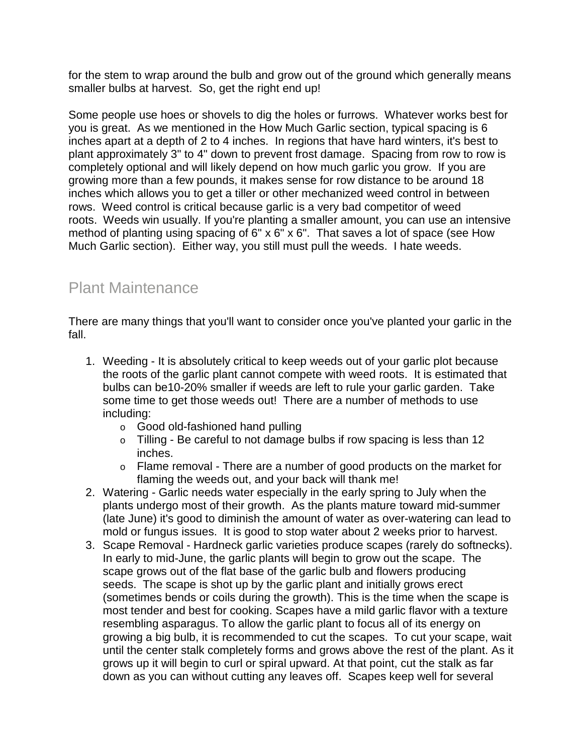for the stem to wrap around the bulb and grow out of the ground which generally means smaller bulbs at harvest. So, get the right end up!

Some people use hoes or shovels to dig the holes or furrows. Whatever works best for you is great. As we mentioned in the How Much Garlic section, typical spacing is 6 inches apart at a depth of 2 to 4 inches. In regions that have hard winters, it's best to plant approximately 3" to 4" down to prevent frost damage. Spacing from row to row is completely optional and will likely depend on how much garlic you grow. If you are growing more than a few pounds, it makes sense for row distance to be around 18 inches which allows you to get a tiller or other mechanized weed control in between rows. Weed control is critical because garlic is a very bad competitor of weed roots. Weeds win usually. If you're planting a smaller amount, you can use an intensive method of planting using spacing of 6" x 6" x 6". That saves a lot of space (see How Much Garlic section). Either way, you still must pull the weeds. I hate weeds.

## Plant Maintenance

There are many things that you'll want to consider once you've planted your garlic in the fall.

- 1. Weeding It is absolutely critical to keep weeds out of your garlic plot because the roots of the garlic plant cannot compete with weed roots. It is estimated that bulbs can be10-20% smaller if weeds are left to rule your garlic garden. Take some time to get those weeds out! There are a number of methods to use including:
	- o Good old-fashioned hand pulling
	- o Tilling Be careful to not damage bulbs if row spacing is less than 12 inches.
	- o Flame removal There are a number of good products on the market for flaming the weeds out, and your back will thank me!
- 2. Watering Garlic needs water especially in the early spring to July when the plants undergo most of their growth. As the plants mature toward mid-summer (late June) it's good to diminish the amount of water as over-watering can lead to mold or fungus issues. It is good to stop water about 2 weeks prior to harvest.
- 3. Scape Removal Hardneck garlic varieties produce scapes (rarely do softnecks). In early to mid-June, the garlic plants will begin to grow out the scape. The scape grows out of the flat base of the garlic bulb and flowers producing seeds. The scape is shot up by the garlic plant and initially grows erect (sometimes bends or coils during the growth). This is the time when the scape is most tender and best for cooking. Scapes have a mild garlic flavor with a texture resembling asparagus. To allow the garlic plant to focus all of its energy on growing a big bulb, it is recommended to cut the scapes. To cut your scape, wait until the center stalk completely forms and grows above the rest of the plant. As it grows up it will begin to curl or spiral upward. At that point, cut the stalk as far down as you can without cutting any leaves off. Scapes keep well for several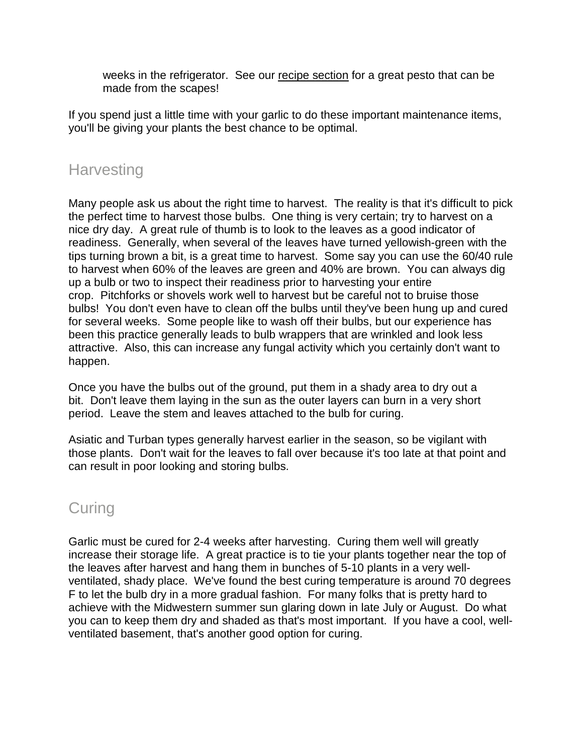weeks in the refrigerator. See our recipe section for a great pesto that can be made from the scapes!

If you spend just a little time with your garlic to do these important maintenance items, you'll be giving your plants the best chance to be optimal.

#### **Harvesting**

Many people ask us about the right time to harvest. The reality is that it's difficult to pick the perfect time to harvest those bulbs. One thing is very certain; try to harvest on a nice dry day. A great rule of thumb is to look to the leaves as a good indicator of readiness. Generally, when several of the leaves have turned yellowish-green with the tips turning brown a bit, is a great time to harvest. Some say you can use the 60/40 rule to harvest when 60% of the leaves are green and 40% are brown. You can always dig up a bulb or two to inspect their readiness prior to harvesting your entire crop. Pitchforks or shovels work well to harvest but be careful not to bruise those bulbs! You don't even have to clean off the bulbs until they've been hung up and cured for several weeks. Some people like to wash off their bulbs, but our experience has been this practice generally leads to bulb wrappers that are wrinkled and look less attractive. Also, this can increase any fungal activity which you certainly don't want to happen.

Once you have the bulbs out of the ground, put them in a shady area to dry out a bit. Don't leave them laying in the sun as the outer layers can burn in a very short period. Leave the stem and leaves attached to the bulb for curing.

Asiatic and Turban types generally harvest earlier in the season, so be vigilant with those plants. Don't wait for the leaves to fall over because it's too late at that point and can result in poor looking and storing bulbs.

## **Curing**

Garlic must be cured for 2-4 weeks after harvesting. Curing them well will greatly increase their storage life. A great practice is to tie your plants together near the top of the leaves after harvest and hang them in bunches of 5-10 plants in a very wellventilated, shady place. We've found the best curing temperature is around 70 degrees F to let the bulb dry in a more gradual fashion. For many folks that is pretty hard to achieve with the Midwestern summer sun glaring down in late July or August. Do what you can to keep them dry and shaded as that's most important. If you have a cool, wellventilated basement, that's another good option for curing.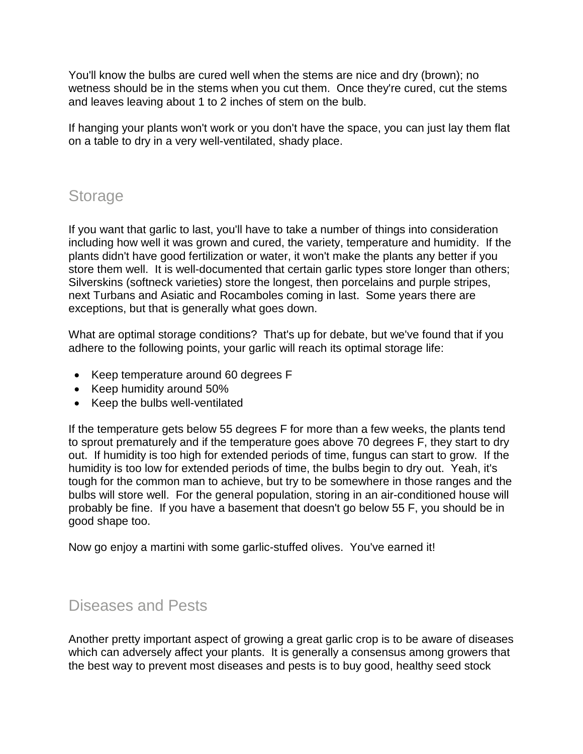You'll know the bulbs are cured well when the stems are nice and dry (brown); no wetness should be in the stems when you cut them. Once they're cured, cut the stems and leaves leaving about 1 to 2 inches of stem on the bulb.

If hanging your plants won't work or you don't have the space, you can just lay them flat on a table to dry in a very well-ventilated, shady place.

## Storage

If you want that garlic to last, you'll have to take a number of things into consideration including how well it was grown and cured, the variety, temperature and humidity. If the plants didn't have good fertilization or water, it won't make the plants any better if you store them well. It is well-documented that certain garlic types store longer than others; Silverskins (softneck varieties) store the longest, then porcelains and purple stripes, next Turbans and Asiatic and Rocamboles coming in last. Some years there are exceptions, but that is generally what goes down.

What are optimal storage conditions? That's up for debate, but we've found that if you adhere to the following points, your garlic will reach its optimal storage life:

- Keep temperature around 60 degrees F
- Keep humidity around 50%
- Keep the bulbs well-ventilated

If the temperature gets below 55 degrees F for more than a few weeks, the plants tend to sprout prematurely and if the temperature goes above 70 degrees F, they start to dry out. If humidity is too high for extended periods of time, fungus can start to grow. If the humidity is too low for extended periods of time, the bulbs begin to dry out. Yeah, it's tough for the common man to achieve, but try to be somewhere in those ranges and the bulbs will store well. For the general population, storing in an air-conditioned house will probably be fine. If you have a basement that doesn't go below 55 F, you should be in good shape too.

Now go enjoy a martini with some garlic-stuffed olives. You've earned it!

#### Diseases and Pests

Another pretty important aspect of growing a great garlic crop is to be aware of diseases which can adversely affect your plants. It is generally a consensus among growers that the best way to prevent most diseases and pests is to buy good, healthy seed stock